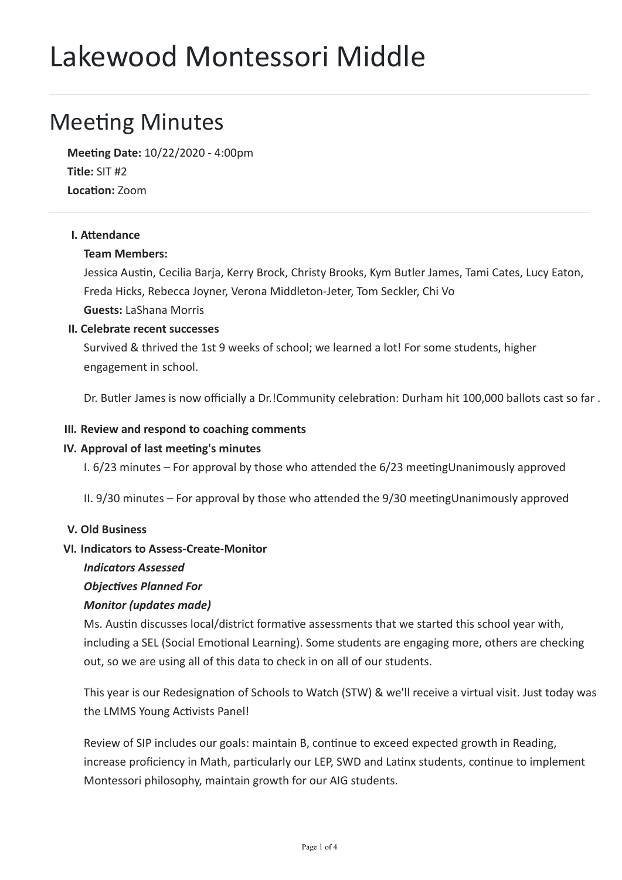# Lakewood Montessori Middle

## **Meeting Minutes**

**Meeng Date:** 10/22/2020 - 4:00pm **Title:** SIT #2 Location: **Zoom** 

#### **I.** Attendance

#### **Team Members:**

Jessica Austin, Cecilia Barja, Kerry Brock, Christy Brooks, Kym Butler James, Tami Cates, Lucy Eaton, Freda Hicks, Rebecca Joyner, Verona Middleton-Jeter, Tom Seckler, Chi Vo **Guests:** LaShana Morris

#### **II. Celebrate recent successes**

Survived & thrived the 1st 9 weeks of school; we learned a lot! For some students, higher engagement in school.

Dr. Butler James is now officially a Dr.!Community celebration: Durham hit 100,000 ballots cast so far .

#### **III. Review and respond to coaching comments**

#### **IV. Approval of last meeting's minutes**

I.  $6/23$  minutes – For approval by those who attended the  $6/23$  meetingUnanimously approved

II.  $9/30$  minutes – For approval by those who attended the  $9/30$  meetingUnanimously approved

#### **V. Old Business**

#### **VI. Indicators to Assess-Create-Monitor**

#### *Indicators Assessed*

#### **Objectives Planned For**

#### *Monitor (updates made)*

Ms. Austin discusses local/district formative assessments that we started this school year with, including a SEL (Social Emotional Learning). Some students are engaging more, others are checking out, so we are using all of this data to check in on all of our students.

This year is our Redesignation of Schools to Watch (STW) & we'll receive a virtual visit. Just today was the LMMS Young Activists Panel!

Review of SIP includes our goals: maintain B, continue to exceed expected growth in Reading, increase proficiency in Math, particularly our LEP, SWD and Latinx students, continue to implement Montessori philosophy, maintain growth for our AIG students.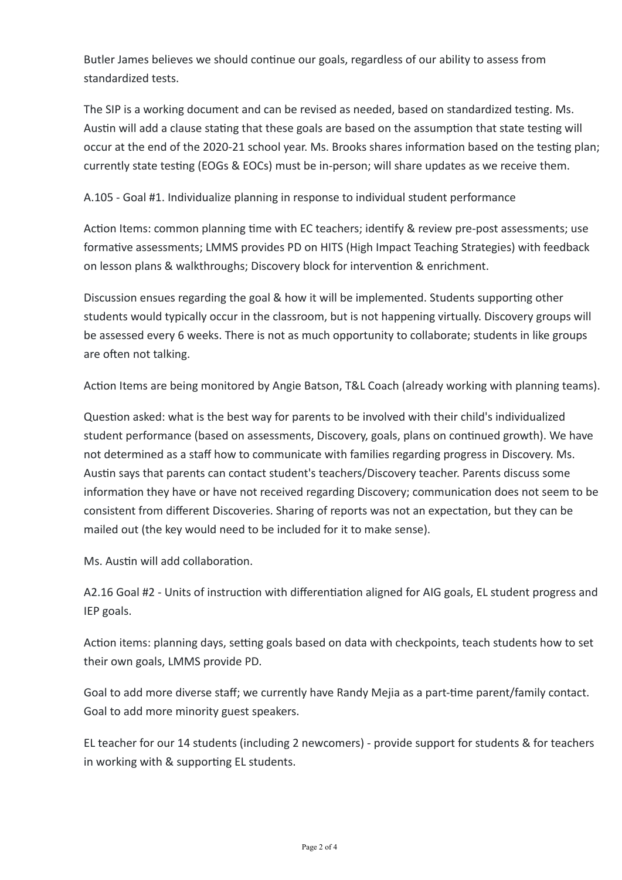Butler James believes we should continue our goals, regardless of our ability to assess from standardized tests.

The SIP is a working document and can be revised as needed, based on standardized testing. Ms. Austin will add a clause stating that these goals are based on the assumption that state testing will occur at the end of the 2020-21 school year. Ms. Brooks shares information based on the testing plan; currently state testing (EOGs & EOCs) must be in-person; will share updates as we receive them.

A.105 - Goal #1. Individualize planning in response to individual student performance

Action Items: common planning time with EC teachers; identify & review pre-post assessments; use formative assessments; LMMS provides PD on HITS (High Impact Teaching Strategies) with feedback on lesson plans & walkthroughs; Discovery block for intervention & enrichment.

Discussion ensues regarding the goal & how it will be implemented. Students supporting other students would typically occur in the classroom, but is not happening virtually. Discovery groups will be assessed every 6 weeks. There is not as much opportunity to collaborate; students in like groups are often not talking.

Action Items are being monitored by Angie Batson, T&L Coach (already working with planning teams).

Question asked: what is the best way for parents to be involved with their child's individualized student performance (based on assessments, Discovery, goals, plans on continued growth). We have not determined as a staff how to communicate with families regarding progress in Discovery. Ms. Austin says that parents can contact student's teachers/Discovery teacher. Parents discuss some information they have or have not received regarding Discovery; communication does not seem to be consistent from different Discoveries. Sharing of reports was not an expectation, but they can be mailed out (the key would need to be included for it to make sense).

Ms. Austin will add collaboration

A2.16 Goal #2 - Units of instruction with differentiation aligned for AIG goals, EL student progress and IEP goals.

Action items: planning days, setting goals based on data with checkpoints, teach students how to set their own goals, LMMS provide PD.

Goal to add more diverse staff; we currently have Randy Meija as a part-time parent/family contact. Goal to add more minority guest speakers.

EL teacher for our 14 students (including 2 newcomers) - provide support for students & for teachers in working with & supporting EL students.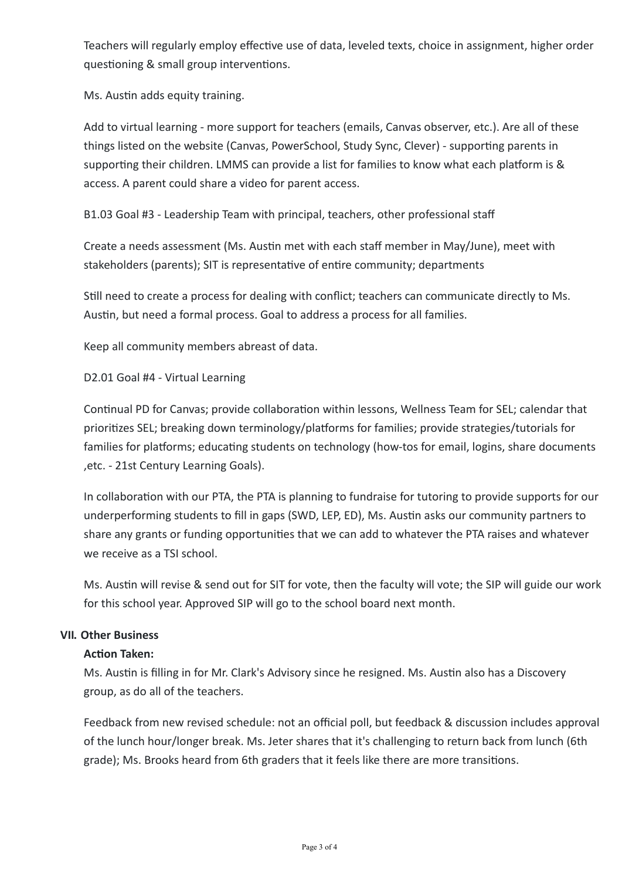Teachers will regularly employ effective use of data, leveled texts, choice in assignment, higher order questioning & small group interventions.

Ms. Austin adds equity training.

Add to virtual learning - more support for teachers (emails, Canvas observer, etc.). Are all of these things listed on the website (Canvas, PowerSchool, Study Sync, Clever) - supporting parents in supporting their children. LMMS can provide a list for families to know what each platform is & access. A parent could share a video for parent access.

B1.03 Goal #3 - Leadership Team with principal, teachers, other professional staff

Create a needs assessment (Ms. Austin met with each staff member in May/June), meet with stakeholders (parents); SIT is representative of entire community; departments

Still need to create a process for dealing with conflict; teachers can communicate directly to Ms. Austin, but need a formal process. Goal to address a process for all families.

Keep all community members abreast of data.

D2.01 Goal #4 - Virtual Learning

Continual PD for Canvas; provide collaboration within lessons, Wellness Team for SEL; calendar that prioritizes SEL; breaking down terminology/platforms for families; provide strategies/tutorials for families for platforms; educating students on technology (how-tos for email, logins, share documents ,etc. - 21st Century Learning Goals).

In collaboration with our PTA, the PTA is planning to fundraise for tutoring to provide supports for our underperforming students to fill in gaps (SWD, LEP, ED), Ms. Austin asks our community partners to share any grants or funding opportunities that we can add to whatever the PTA raises and whatever we receive as a TSI school.

Ms. Austin will revise & send out for SIT for vote, then the faculty will vote; the SIP will guide our work for this school year. Approved SIP will go to the school board next month.

#### **VII. Other Business**

#### **Action Taken:**

Ms. Austin is filling in for Mr. Clark's Advisory since he resigned. Ms. Austin also has a Discovery group, as do all of the teachers.

Feedback from new revised schedule: not an official poll, but feedback & discussion includes approval of the lunch hour/longer break. Ms. Jeter shares that it's challenging to return back from lunch (6th grade); Ms. Brooks heard from 6th graders that it feels like there are more transitions.